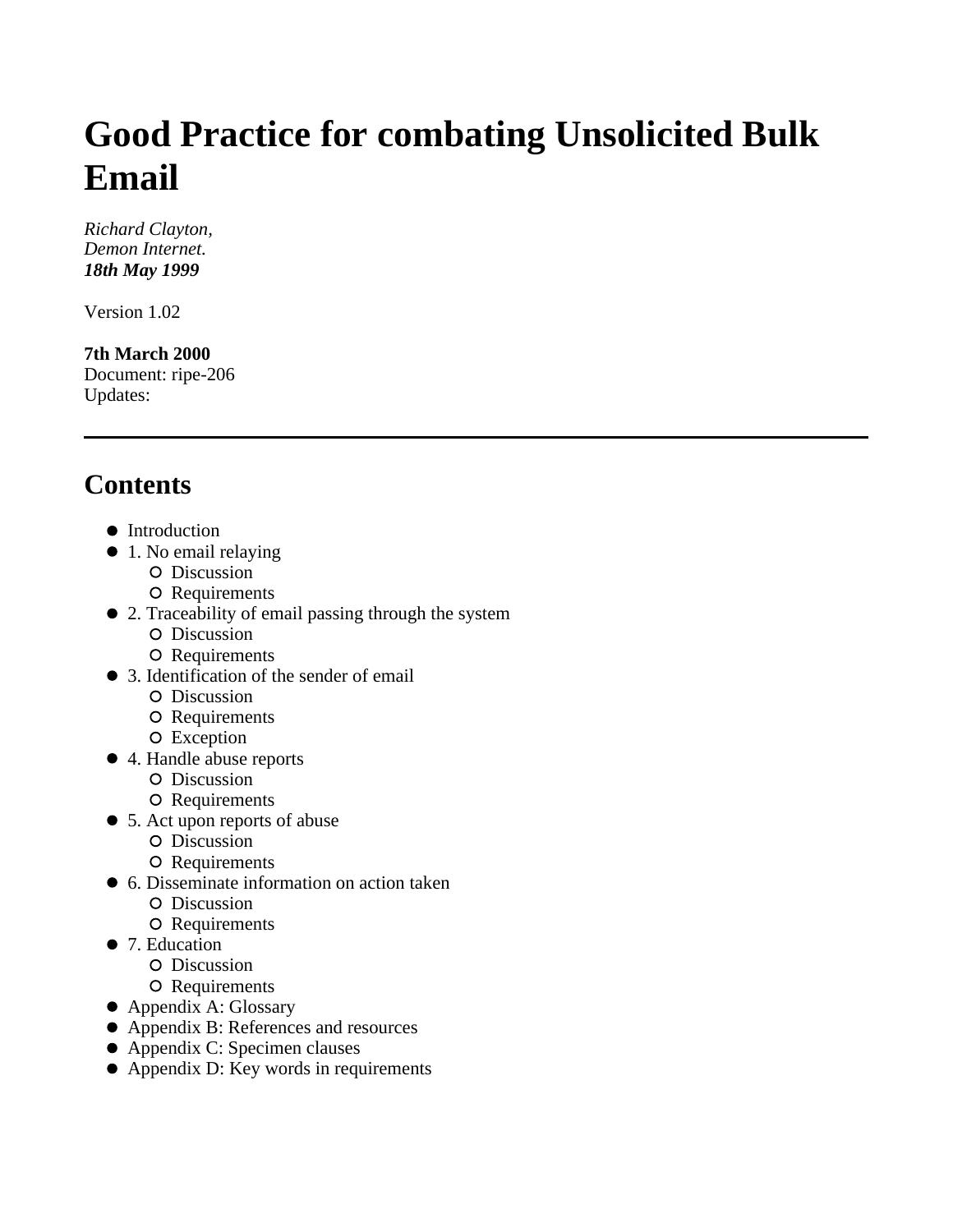# **Good Practice for combating Unsolicited Bulk Email**

*Richard Clayton, Demon Internet. 18th May 1999*

Version 1.02

**7th March 2000** Document: ripe-206 Updates:

# **Contents**

- Introduction
- 1. No email relaying
	- O Discussion
	- O Requirements
- 2. Traceability of email passing through the system
	- O Discussion
	- O Requirements
- 3. Identification of the sender of email
	- O Discussion
	- O Requirements
	- O Exception
- 4. Handle abuse reports
	- O Discussion
	- O Requirements
- 5. Act upon reports of abuse
	- O Discussion
	- O Requirements
- 6. Disseminate information on action taken
	- O Discussion
	- O Requirements
- 7. Education
	- O Discussion
	- O Requirements
- Appendix A: Glossary
- Appendix B: References and resources
- Appendix C: Specimen clauses
- Appendix D: Key words in requirements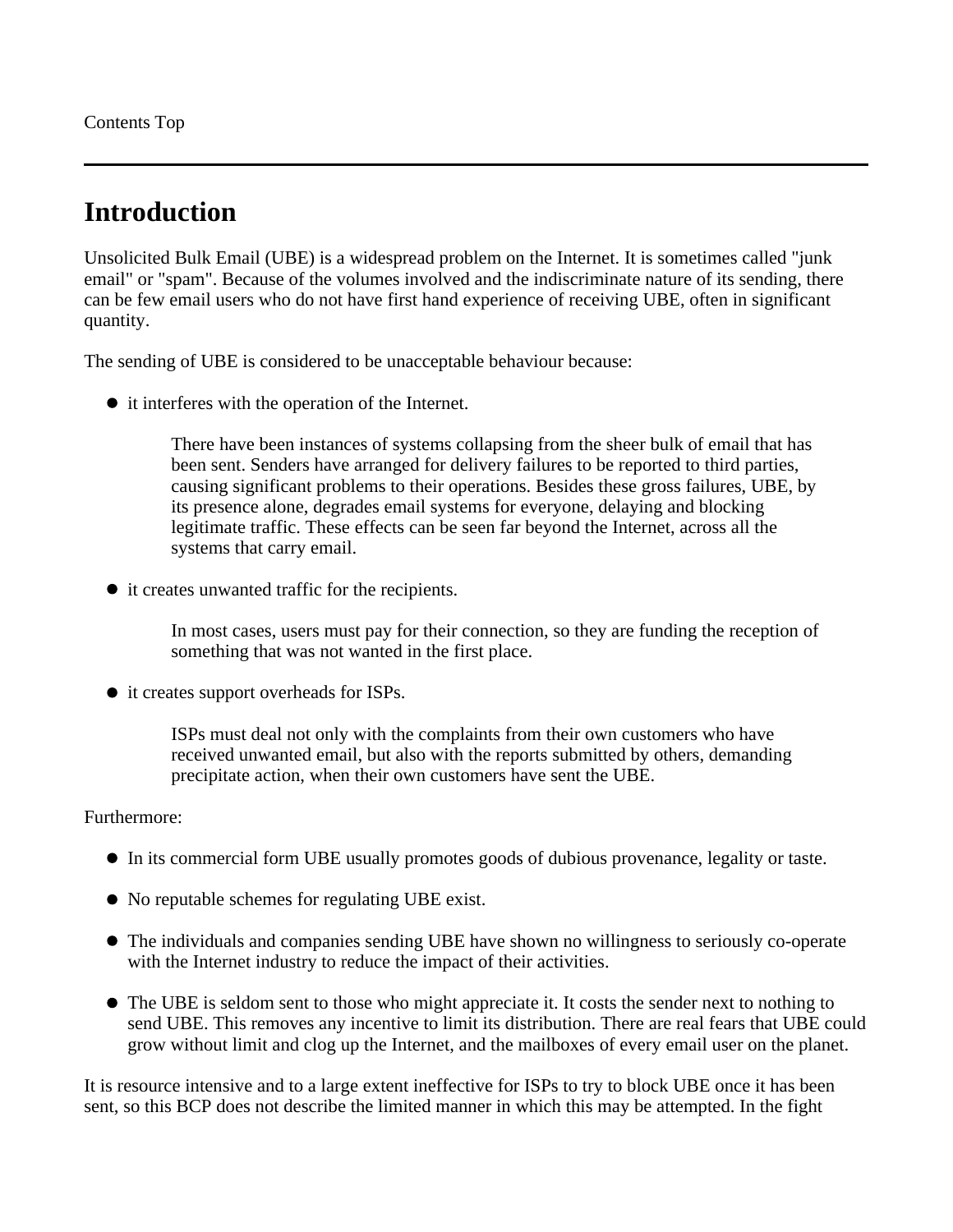Contents Top

# **Introduction**

Unsolicited Bulk Email (UBE) is a widespread problem on the Internet. It is sometimes called "junk email" or "spam". Because of the volumes involved and the indiscriminate nature of its sending, there can be few email users who do not have first hand experience of receiving UBE, often in significant quantity.

The sending of UBE is considered to be unacceptable behaviour because:

• it interferes with the operation of the Internet.

There have been instances of systems collapsing from the sheer bulk of email that has been sent. Senders have arranged for delivery failures to be reported to third parties, causing significant problems to their operations. Besides these gross failures, UBE, by its presence alone, degrades email systems for everyone, delaying and blocking legitimate traffic. These effects can be seen far beyond the Internet, across all the systems that carry email.

it creates unwanted traffic for the recipients.

In most cases, users must pay for their connection, so they are funding the reception of something that was not wanted in the first place.

• it creates support overheads for ISPs.

ISPs must deal not only with the complaints from their own customers who have received unwanted email, but also with the reports submitted by others, demanding precipitate action, when their own customers have sent the UBE.

#### Furthermore:

- In its commercial form UBE usually promotes goods of dubious provenance, legality or taste.
- No reputable schemes for regulating UBE exist.
- The individuals and companies sending UBE have shown no willingness to seriously co-operate with the Internet industry to reduce the impact of their activities.
- The UBE is seldom sent to those who might appreciate it. It costs the sender next to nothing to send UBE. This removes any incentive to limit its distribution. There are real fears that UBE could grow without limit and clog up the Internet, and the mailboxes of every email user on the planet.

It is resource intensive and to a large extent ineffective for ISPs to try to block UBE once it has been sent, so this BCP does not describe the limited manner in which this may be attempted. In the fight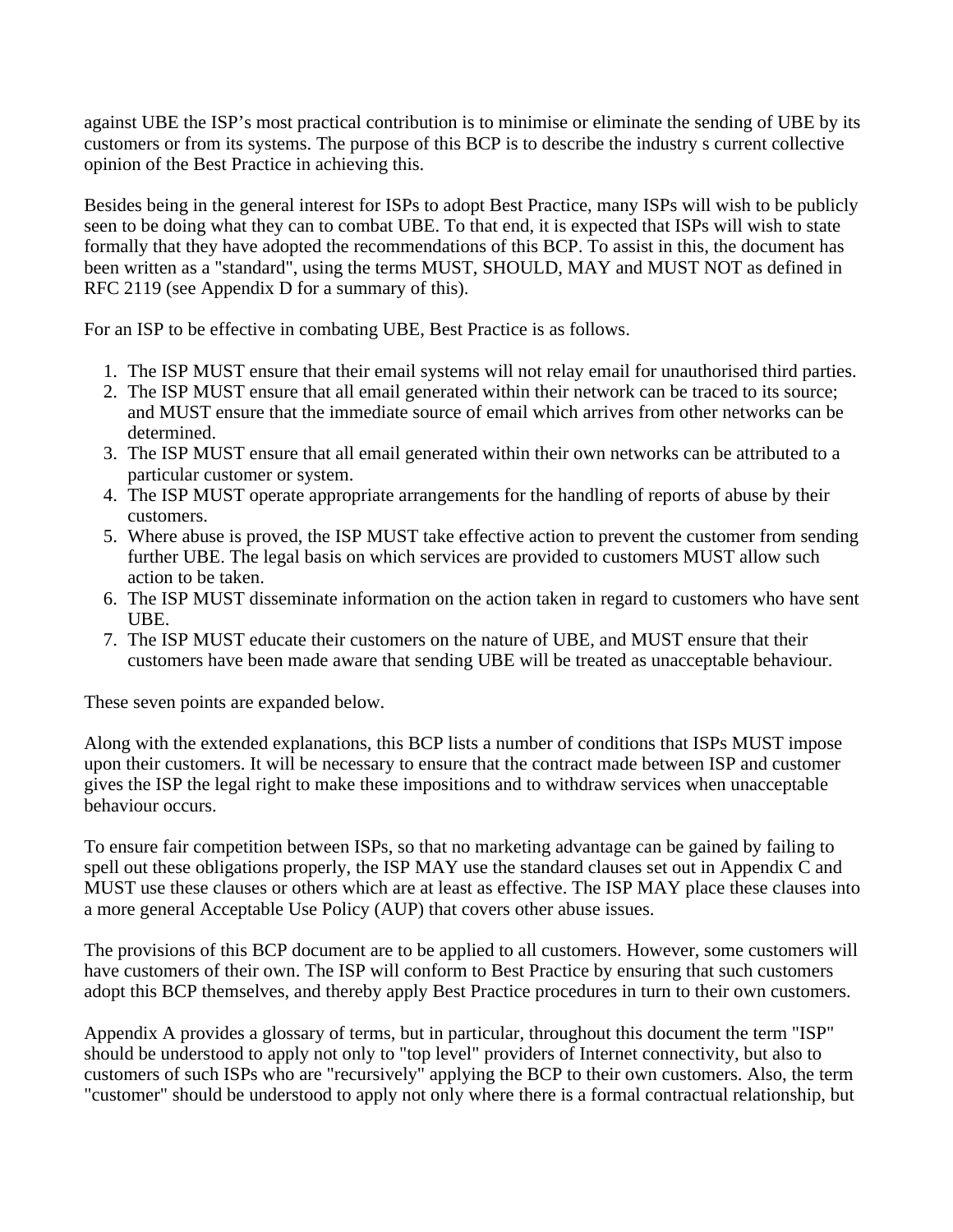against UBE the ISP's most practical contribution is to minimise or eliminate the sending of UBE by its customers or from its systems. The purpose of this BCP is to describe the industry s current collective opinion of the Best Practice in achieving this.

Besides being in the general interest for ISPs to adopt Best Practice, many ISPs will wish to be publicly seen to be doing what they can to combat UBE. To that end, it is expected that ISPs will wish to state formally that they have adopted the recommendations of this BCP. To assist in this, the document has been written as a "standard", using the terms MUST, SHOULD, MAY and MUST NOT as defined in RFC 2119 (see Appendix D for a summary of this).

For an ISP to be effective in combating UBE, Best Practice is as follows.

- 1. The ISP MUST ensure that their email systems will not relay email for unauthorised third parties.
- 2. The ISP MUST ensure that all email generated within their network can be traced to its source; and MUST ensure that the immediate source of email which arrives from other networks can be determined.
- 3. The ISP MUST ensure that all email generated within their own networks can be attributed to a particular customer or system.
- 4. The ISP MUST operate appropriate arrangements for the handling of reports of abuse by their customers.
- 5. Where abuse is proved, the ISP MUST take effective action to prevent the customer from sending further UBE. The legal basis on which services are provided to customers MUST allow such action to be taken.
- 6. The ISP MUST disseminate information on the action taken in regard to customers who have sent UBE.
- 7. The ISP MUST educate their customers on the nature of UBE, and MUST ensure that their customers have been made aware that sending UBE will be treated as unacceptable behaviour.

These seven points are expanded below.

Along with the extended explanations, this BCP lists a number of conditions that ISPs MUST impose upon their customers. It will be necessary to ensure that the contract made between ISP and customer gives the ISP the legal right to make these impositions and to withdraw services when unacceptable behaviour occurs.

To ensure fair competition between ISPs, so that no marketing advantage can be gained by failing to spell out these obligations properly, the ISP MAY use the standard clauses set out in Appendix C and MUST use these clauses or others which are at least as effective. The ISP MAY place these clauses into a more general Acceptable Use Policy (AUP) that covers other abuse issues.

The provisions of this BCP document are to be applied to all customers. However, some customers will have customers of their own. The ISP will conform to Best Practice by ensuring that such customers adopt this BCP themselves, and thereby apply Best Practice procedures in turn to their own customers.

Appendix A provides a glossary of terms, but in particular, throughout this document the term "ISP" should be understood to apply not only to "top level" providers of Internet connectivity, but also to customers of such ISPs who are "recursively" applying the BCP to their own customers. Also, the term "customer" should be understood to apply not only where there is a formal contractual relationship, but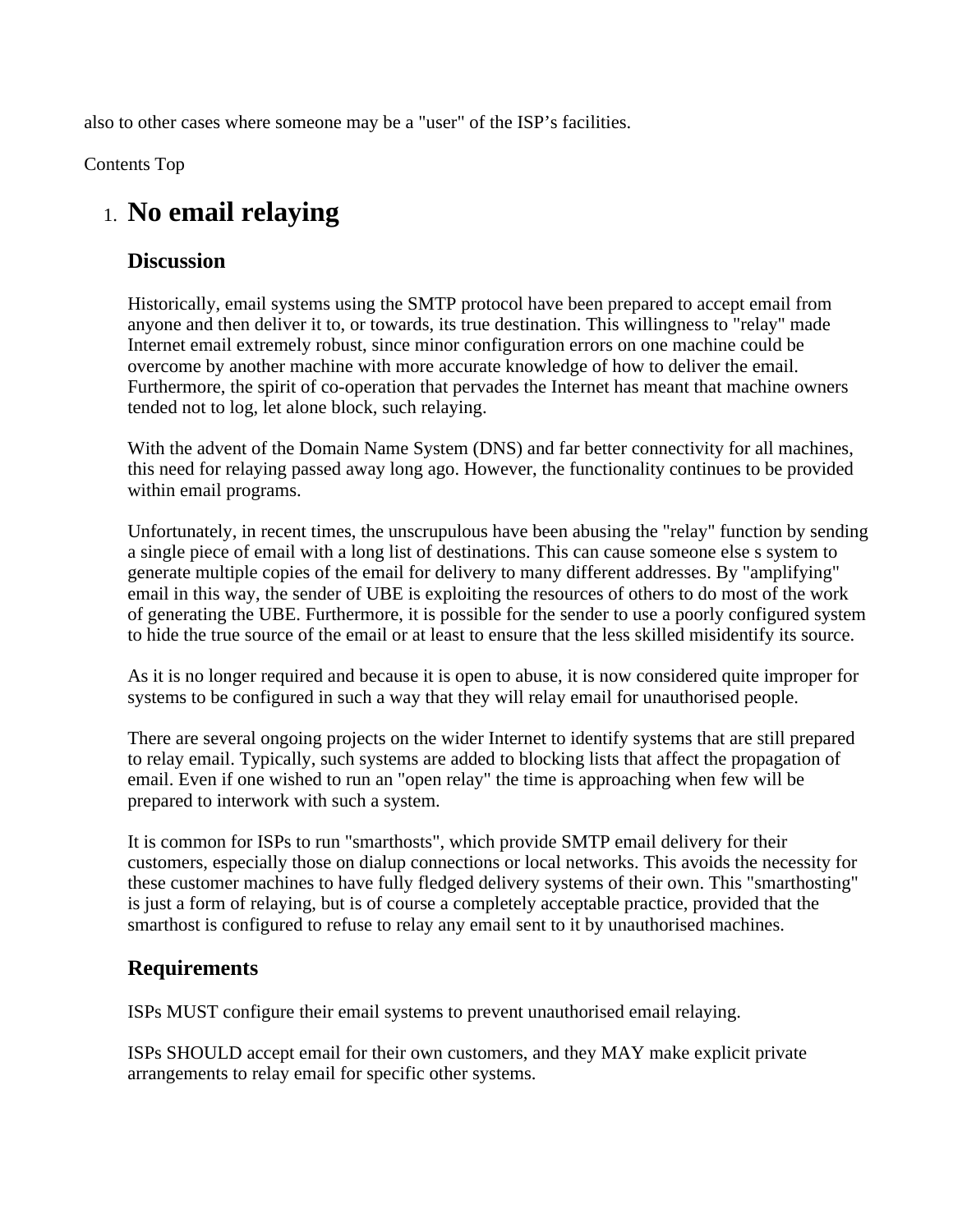also to other cases where someone may be a "user" of the ISP's facilities.

Contents Top

## 1. **No email relaying**

#### **Discussion**

Historically, email systems using the SMTP protocol have been prepared to accept email from anyone and then deliver it to, or towards, its true destination. This willingness to "relay" made Internet email extremely robust, since minor configuration errors on one machine could be overcome by another machine with more accurate knowledge of how to deliver the email. Furthermore, the spirit of co-operation that pervades the Internet has meant that machine owners tended not to log, let alone block, such relaying.

With the advent of the Domain Name System (DNS) and far better connectivity for all machines, this need for relaying passed away long ago. However, the functionality continues to be provided within email programs.

Unfortunately, in recent times, the unscrupulous have been abusing the "relay" function by sending a single piece of email with a long list of destinations. This can cause someone else s system to generate multiple copies of the email for delivery to many different addresses. By "amplifying" email in this way, the sender of UBE is exploiting the resources of others to do most of the work of generating the UBE. Furthermore, it is possible for the sender to use a poorly configured system to hide the true source of the email or at least to ensure that the less skilled misidentify its source.

As it is no longer required and because it is open to abuse, it is now considered quite improper for systems to be configured in such a way that they will relay email for unauthorised people.

There are several ongoing projects on the wider Internet to identify systems that are still prepared to relay email. Typically, such systems are added to blocking lists that affect the propagation of email. Even if one wished to run an "open relay" the time is approaching when few will be prepared to interwork with such a system.

It is common for ISPs to run "smarthosts", which provide SMTP email delivery for their customers, especially those on dialup connections or local networks. This avoids the necessity for these customer machines to have fully fledged delivery systems of their own. This "smarthosting" is just a form of relaying, but is of course a completely acceptable practice, provided that the smarthost is configured to refuse to relay any email sent to it by unauthorised machines.

#### **Requirements**

ISPs MUST configure their email systems to prevent unauthorised email relaying.

ISPs SHOULD accept email for their own customers, and they MAY make explicit private arrangements to relay email for specific other systems.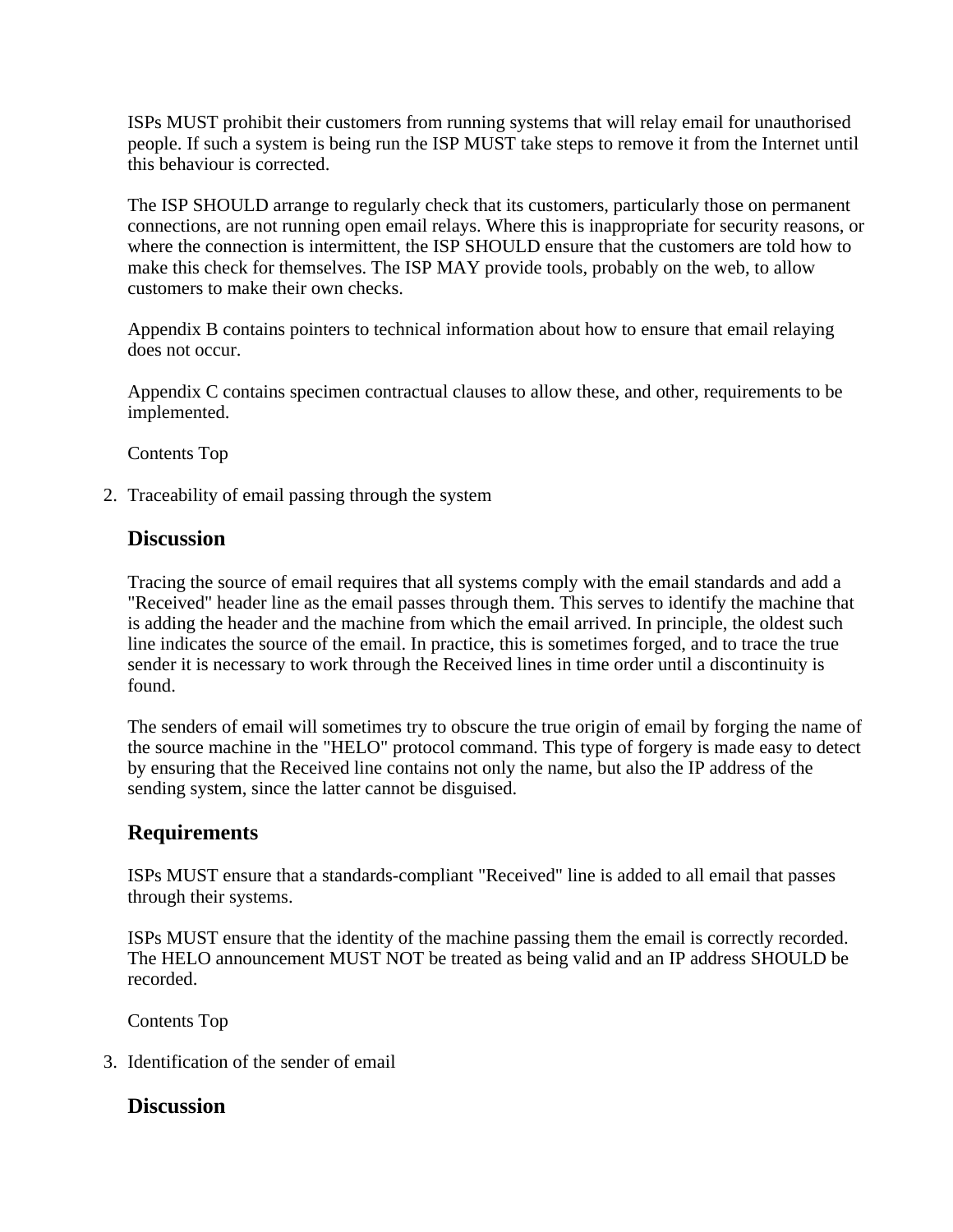ISPs MUST prohibit their customers from running systems that will relay email for unauthorised people. If such a system is being run the ISP MUST take steps to remove it from the Internet until this behaviour is corrected.

The ISP SHOULD arrange to regularly check that its customers, particularly those on permanent connections, are not running open email relays. Where this is inappropriate for security reasons, or where the connection is intermittent, the ISP SHOULD ensure that the customers are told how to make this check for themselves. The ISP MAY provide tools, probably on the web, to allow customers to make their own checks.

Appendix B contains pointers to technical information about how to ensure that email relaying does not occur.

Appendix C contains specimen contractual clauses to allow these, and other, requirements to be implemented.

Contents Top

2. Traceability of email passing through the system

#### **Discussion**

Tracing the source of email requires that all systems comply with the email standards and add a "Received" header line as the email passes through them. This serves to identify the machine that is adding the header and the machine from which the email arrived. In principle, the oldest such line indicates the source of the email. In practice, this is sometimes forged, and to trace the true sender it is necessary to work through the Received lines in time order until a discontinuity is found.

The senders of email will sometimes try to obscure the true origin of email by forging the name of the source machine in the "HELO" protocol command. This type of forgery is made easy to detect by ensuring that the Received line contains not only the name, but also the IP address of the sending system, since the latter cannot be disguised.

#### **Requirements**

ISPs MUST ensure that a standards-compliant "Received" line is added to all email that passes through their systems.

ISPs MUST ensure that the identity of the machine passing them the email is correctly recorded. The HELO announcement MUST NOT be treated as being valid and an IP address SHOULD be recorded.

Contents Top

3. Identification of the sender of email

#### **Discussion**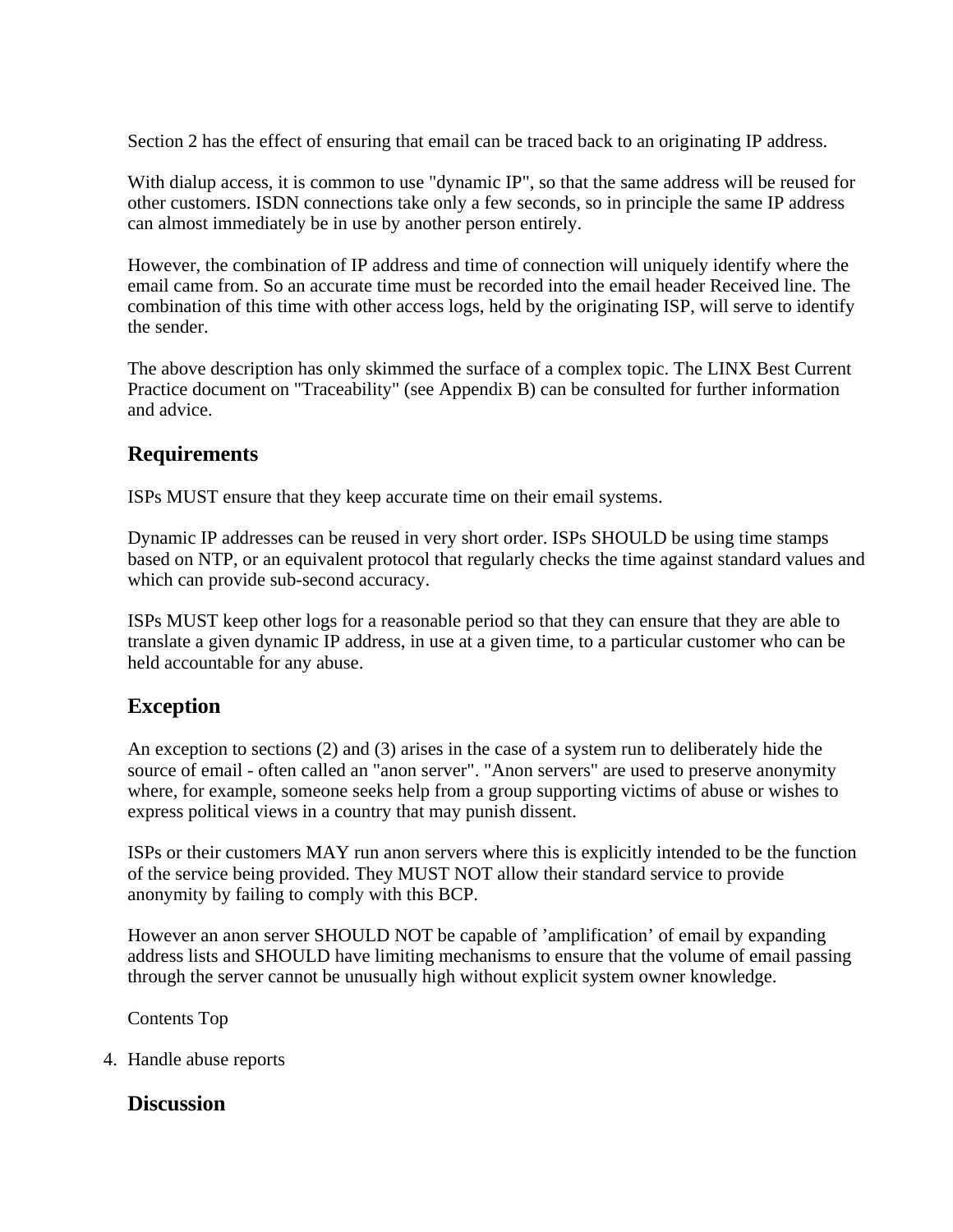Section 2 has the effect of ensuring that email can be traced back to an originating IP address.

With dialup access, it is common to use "dynamic IP", so that the same address will be reused for other customers. ISDN connections take only a few seconds, so in principle the same IP address can almost immediately be in use by another person entirely.

However, the combination of IP address and time of connection will uniquely identify where the email came from. So an accurate time must be recorded into the email header Received line. The combination of this time with other access logs, held by the originating ISP, will serve to identify the sender.

The above description has only skimmed the surface of a complex topic. The LINX Best Current Practice document on "Traceability" (see Appendix B) can be consulted for further information and advice.

#### **Requirements**

ISPs MUST ensure that they keep accurate time on their email systems.

Dynamic IP addresses can be reused in very short order. ISPs SHOULD be using time stamps based on NTP, or an equivalent protocol that regularly checks the time against standard values and which can provide sub-second accuracy.

ISPs MUST keep other logs for a reasonable period so that they can ensure that they are able to translate a given dynamic IP address, in use at a given time, to a particular customer who can be held accountable for any abuse.

### **Exception**

An exception to sections (2) and (3) arises in the case of a system run to deliberately hide the source of email - often called an "anon server". "Anon servers" are used to preserve anonymity where, for example, someone seeks help from a group supporting victims of abuse or wishes to express political views in a country that may punish dissent.

ISPs or their customers MAY run anon servers where this is explicitly intended to be the function of the service being provided. They MUST NOT allow their standard service to provide anonymity by failing to comply with this BCP.

However an anon server SHOULD NOT be capable of 'amplification' of email by expanding address lists and SHOULD have limiting mechanisms to ensure that the volume of email passing through the server cannot be unusually high without explicit system owner knowledge.

Contents Top

4. Handle abuse reports

#### **Discussion**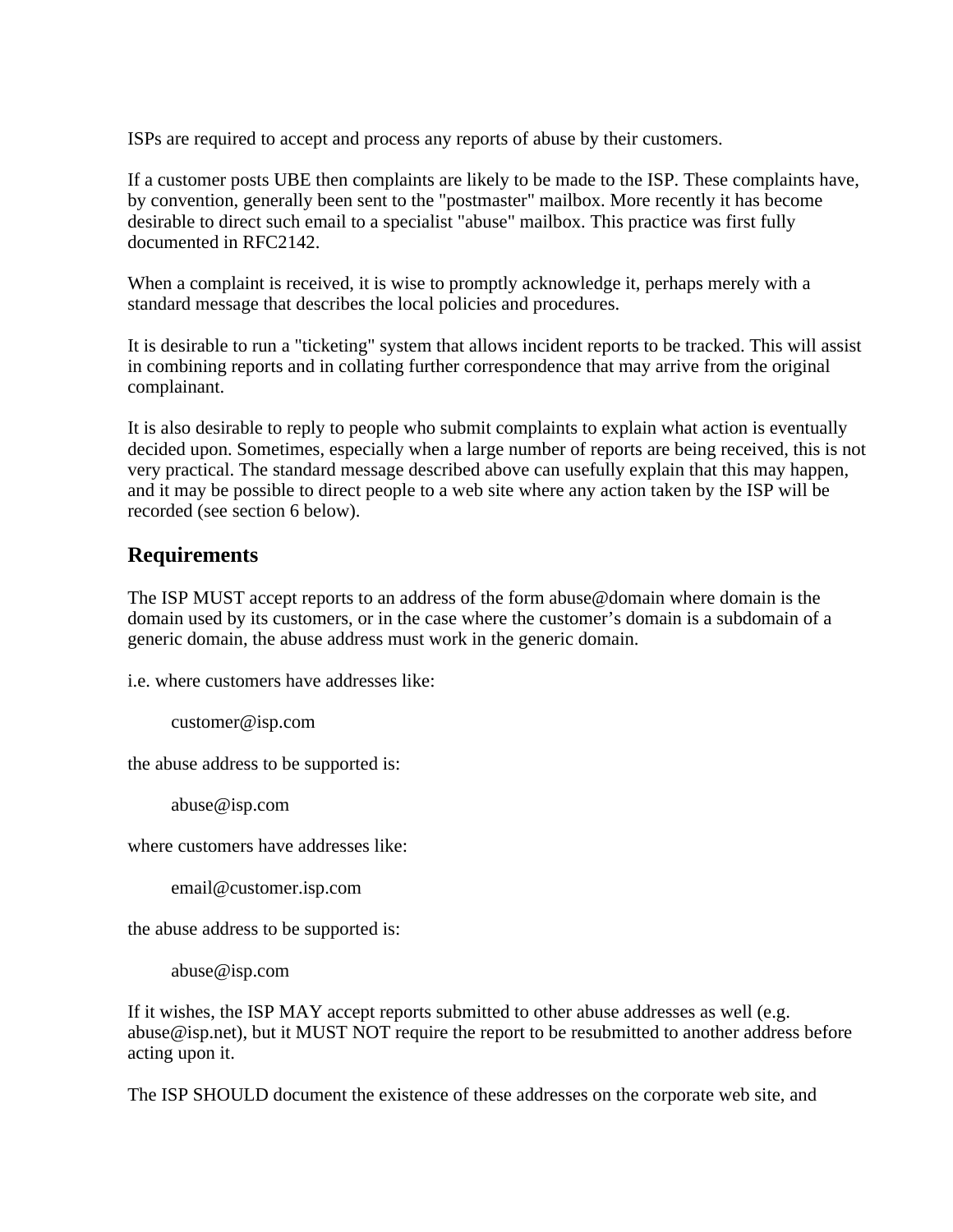ISPs are required to accept and process any reports of abuse by their customers.

If a customer posts UBE then complaints are likely to be made to the ISP. These complaints have, by convention, generally been sent to the "postmaster" mailbox. More recently it has become desirable to direct such email to a specialist "abuse" mailbox. This practice was first fully documented in RFC2142.

When a complaint is received, it is wise to promptly acknowledge it, perhaps merely with a standard message that describes the local policies and procedures.

It is desirable to run a "ticketing" system that allows incident reports to be tracked. This will assist in combining reports and in collating further correspondence that may arrive from the original complainant.

It is also desirable to reply to people who submit complaints to explain what action is eventually decided upon. Sometimes, especially when a large number of reports are being received, this is not very practical. The standard message described above can usefully explain that this may happen, and it may be possible to direct people to a web site where any action taken by the ISP will be recorded (see section 6 below).

#### **Requirements**

The ISP MUST accept reports to an address of the form abuse@domain where domain is the domain used by its customers, or in the case where the customer's domain is a subdomain of a generic domain, the abuse address must work in the generic domain.

i.e. where customers have addresses like:

customer@isp.com

the abuse address to be supported is:

abuse@isp.com

where customers have addresses like:

email@customer.isp.com

the abuse address to be supported is:

abuse@isp.com

If it wishes, the ISP MAY accept reports submitted to other abuse addresses as well (e.g. abuse@isp.net), but it MUST NOT require the report to be resubmitted to another address before acting upon it.

The ISP SHOULD document the existence of these addresses on the corporate web site, and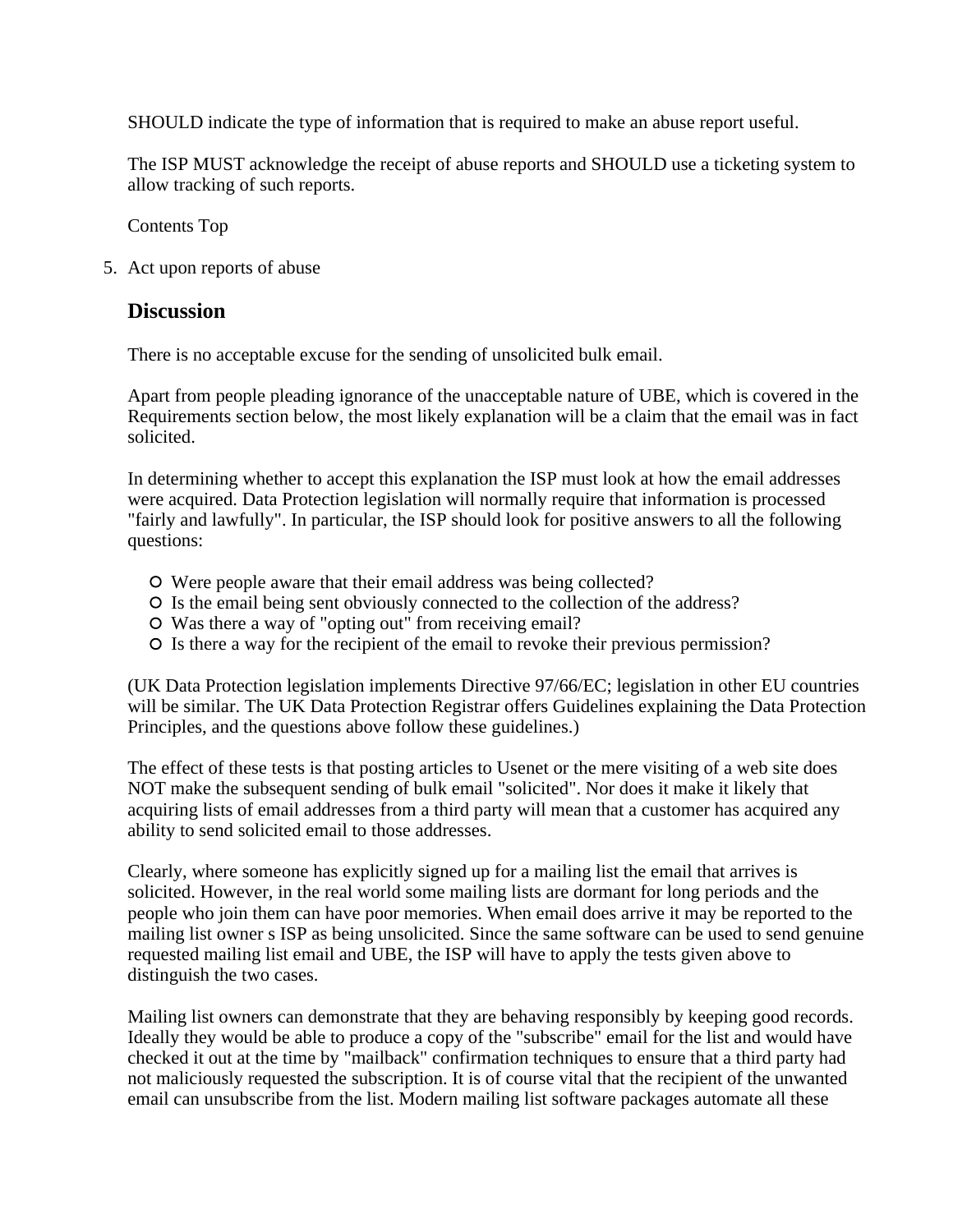SHOULD indicate the type of information that is required to make an abuse report useful.

The ISP MUST acknowledge the receipt of abuse reports and SHOULD use a ticketing system to allow tracking of such reports.

Contents Top

5. Act upon reports of abuse

#### **Discussion**

There is no acceptable excuse for the sending of unsolicited bulk email.

Apart from people pleading ignorance of the unacceptable nature of UBE, which is covered in the Requirements section below, the most likely explanation will be a claim that the email was in fact solicited.

In determining whether to accept this explanation the ISP must look at how the email addresses were acquired. Data Protection legislation will normally require that information is processed "fairly and lawfully". In particular, the ISP should look for positive answers to all the following questions:

- Were people aware that their email address was being collected?
- Is the email being sent obviously connected to the collection of the address?
- Was there a way of "opting out" from receiving email?
- Is there a way for the recipient of the email to revoke their previous permission?

(UK Data Protection legislation implements Directive 97/66/EC; legislation in other EU countries will be similar. The UK Data Protection Registrar offers Guidelines explaining the Data Protection Principles, and the questions above follow these guidelines.)

The effect of these tests is that posting articles to Usenet or the mere visiting of a web site does NOT make the subsequent sending of bulk email "solicited". Nor does it make it likely that acquiring lists of email addresses from a third party will mean that a customer has acquired any ability to send solicited email to those addresses.

Clearly, where someone has explicitly signed up for a mailing list the email that arrives is solicited. However, in the real world some mailing lists are dormant for long periods and the people who join them can have poor memories. When email does arrive it may be reported to the mailing list owner s ISP as being unsolicited. Since the same software can be used to send genuine requested mailing list email and UBE, the ISP will have to apply the tests given above to distinguish the two cases.

Mailing list owners can demonstrate that they are behaving responsibly by keeping good records. Ideally they would be able to produce a copy of the "subscribe" email for the list and would have checked it out at the time by "mailback" confirmation techniques to ensure that a third party had not maliciously requested the subscription. It is of course vital that the recipient of the unwanted email can unsubscribe from the list. Modern mailing list software packages automate all these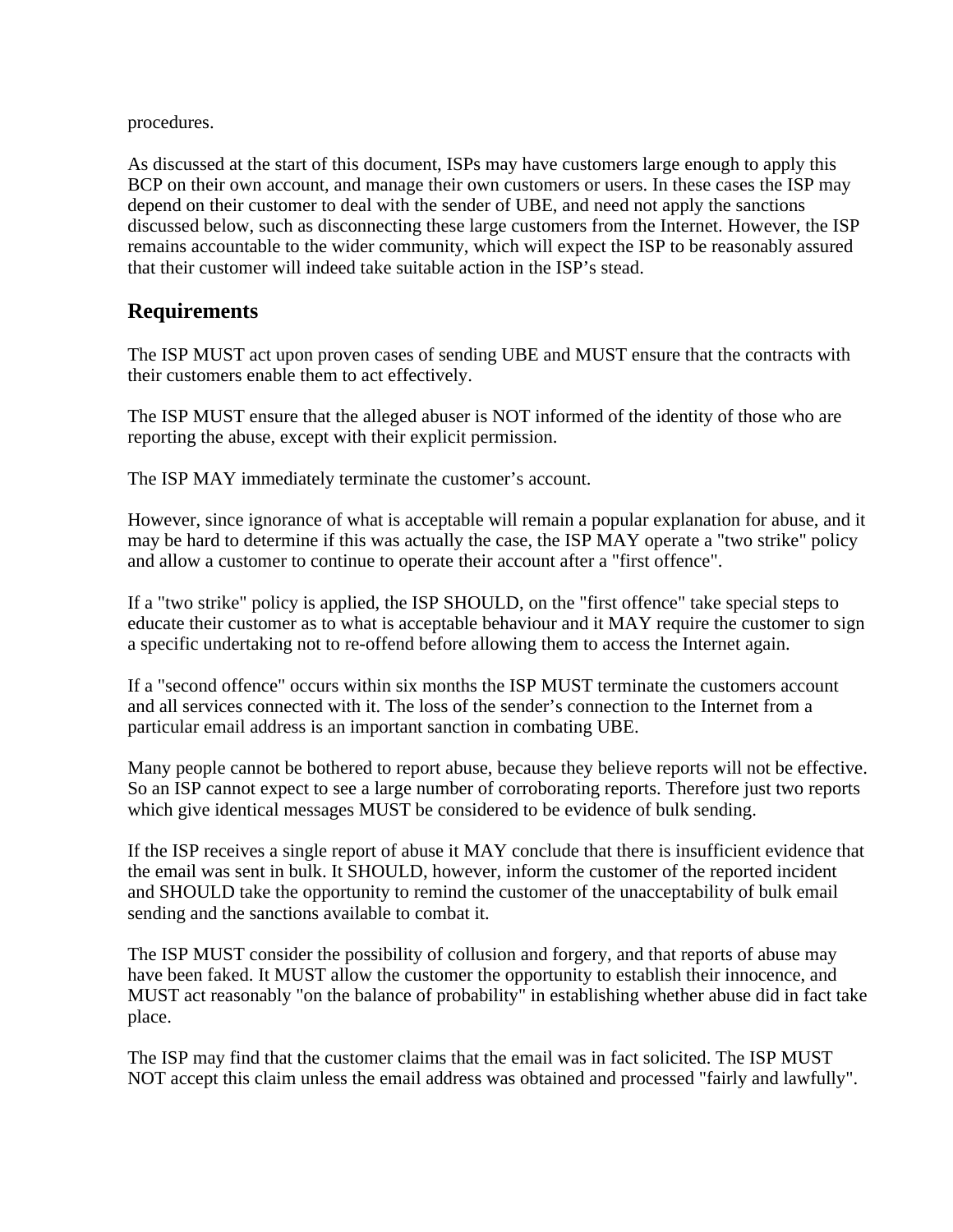procedures.

As discussed at the start of this document, ISPs may have customers large enough to apply this BCP on their own account, and manage their own customers or users. In these cases the ISP may depend on their customer to deal with the sender of UBE, and need not apply the sanctions discussed below, such as disconnecting these large customers from the Internet. However, the ISP remains accountable to the wider community, which will expect the ISP to be reasonably assured that their customer will indeed take suitable action in the ISP's stead.

#### **Requirements**

The ISP MUST act upon proven cases of sending UBE and MUST ensure that the contracts with their customers enable them to act effectively.

The ISP MUST ensure that the alleged abuser is NOT informed of the identity of those who are reporting the abuse, except with their explicit permission.

The ISP MAY immediately terminate the customer's account.

However, since ignorance of what is acceptable will remain a popular explanation for abuse, and it may be hard to determine if this was actually the case, the ISP MAY operate a "two strike" policy and allow a customer to continue to operate their account after a "first offence".

If a "two strike" policy is applied, the ISP SHOULD, on the "first offence" take special steps to educate their customer as to what is acceptable behaviour and it MAY require the customer to sign a specific undertaking not to re-offend before allowing them to access the Internet again.

If a "second offence" occurs within six months the ISP MUST terminate the customers account and all services connected with it. The loss of the sender's connection to the Internet from a particular email address is an important sanction in combating UBE.

Many people cannot be bothered to report abuse, because they believe reports will not be effective. So an ISP cannot expect to see a large number of corroborating reports. Therefore just two reports which give identical messages MUST be considered to be evidence of bulk sending.

If the ISP receives a single report of abuse it MAY conclude that there is insufficient evidence that the email was sent in bulk. It SHOULD, however, inform the customer of the reported incident and SHOULD take the opportunity to remind the customer of the unacceptability of bulk email sending and the sanctions available to combat it.

The ISP MUST consider the possibility of collusion and forgery, and that reports of abuse may have been faked. It MUST allow the customer the opportunity to establish their innocence, and MUST act reasonably "on the balance of probability" in establishing whether abuse did in fact take place.

The ISP may find that the customer claims that the email was in fact solicited. The ISP MUST NOT accept this claim unless the email address was obtained and processed "fairly and lawfully".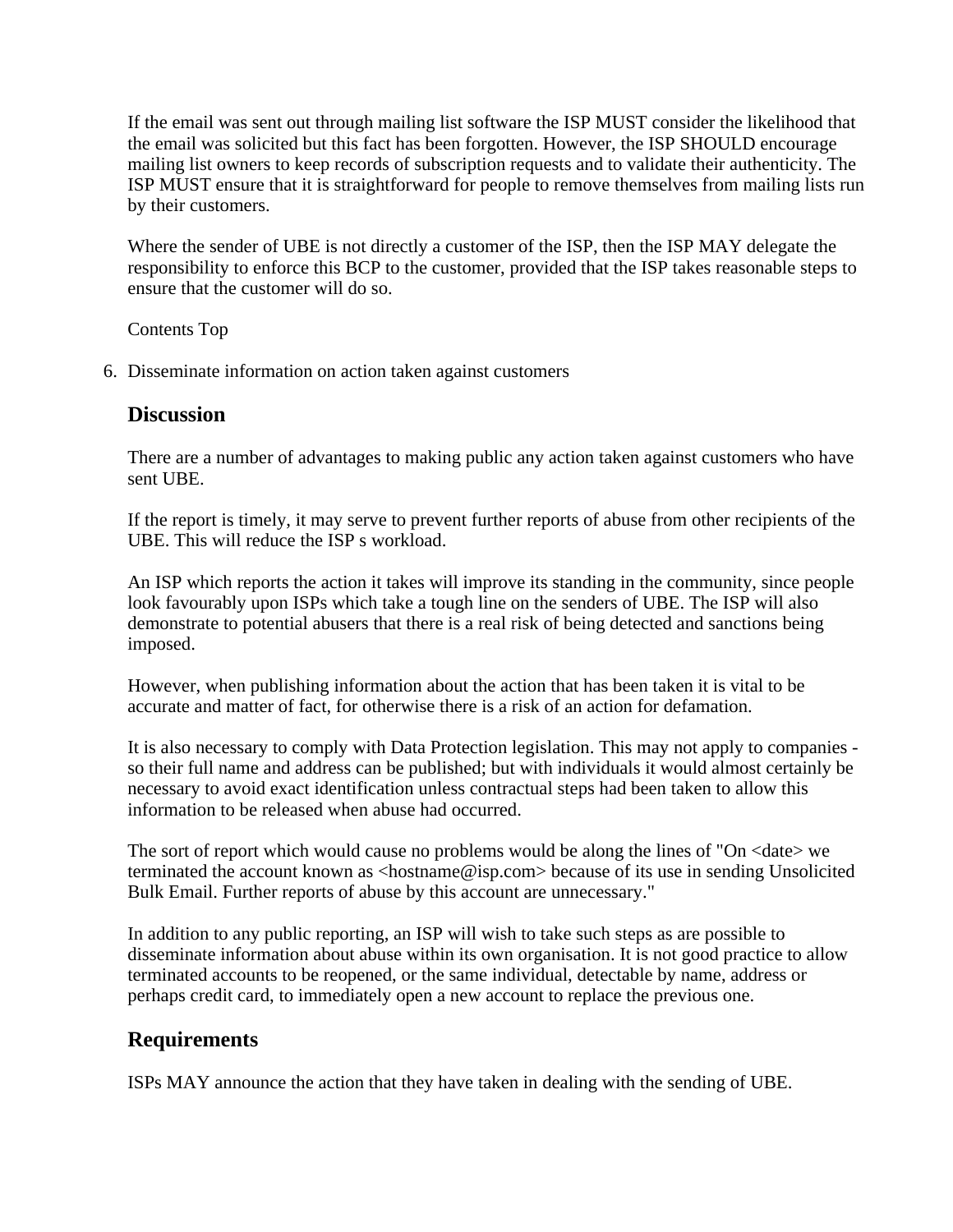If the email was sent out through mailing list software the ISP MUST consider the likelihood that the email was solicited but this fact has been forgotten. However, the ISP SHOULD encourage mailing list owners to keep records of subscription requests and to validate their authenticity. The ISP MUST ensure that it is straightforward for people to remove themselves from mailing lists run by their customers.

Where the sender of UBE is not directly a customer of the ISP, then the ISP MAY delegate the responsibility to enforce this BCP to the customer, provided that the ISP takes reasonable steps to ensure that the customer will do so.

Contents Top

6. Disseminate information on action taken against customers

#### **Discussion**

There are a number of advantages to making public any action taken against customers who have sent UBE.

If the report is timely, it may serve to prevent further reports of abuse from other recipients of the UBE. This will reduce the ISP s workload.

An ISP which reports the action it takes will improve its standing in the community, since people look favourably upon ISPs which take a tough line on the senders of UBE. The ISP will also demonstrate to potential abusers that there is a real risk of being detected and sanctions being imposed.

However, when publishing information about the action that has been taken it is vital to be accurate and matter of fact, for otherwise there is a risk of an action for defamation.

It is also necessary to comply with Data Protection legislation. This may not apply to companies so their full name and address can be published; but with individuals it would almost certainly be necessary to avoid exact identification unless contractual steps had been taken to allow this information to be released when abuse had occurred.

The sort of report which would cause no problems would be along the lines of "On <date> we terminated the account known as <hostname@isp.com> because of its use in sending Unsolicited Bulk Email. Further reports of abuse by this account are unnecessary."

In addition to any public reporting, an ISP will wish to take such steps as are possible to disseminate information about abuse within its own organisation. It is not good practice to allow terminated accounts to be reopened, or the same individual, detectable by name, address or perhaps credit card, to immediately open a new account to replace the previous one.

### **Requirements**

ISPs MAY announce the action that they have taken in dealing with the sending of UBE.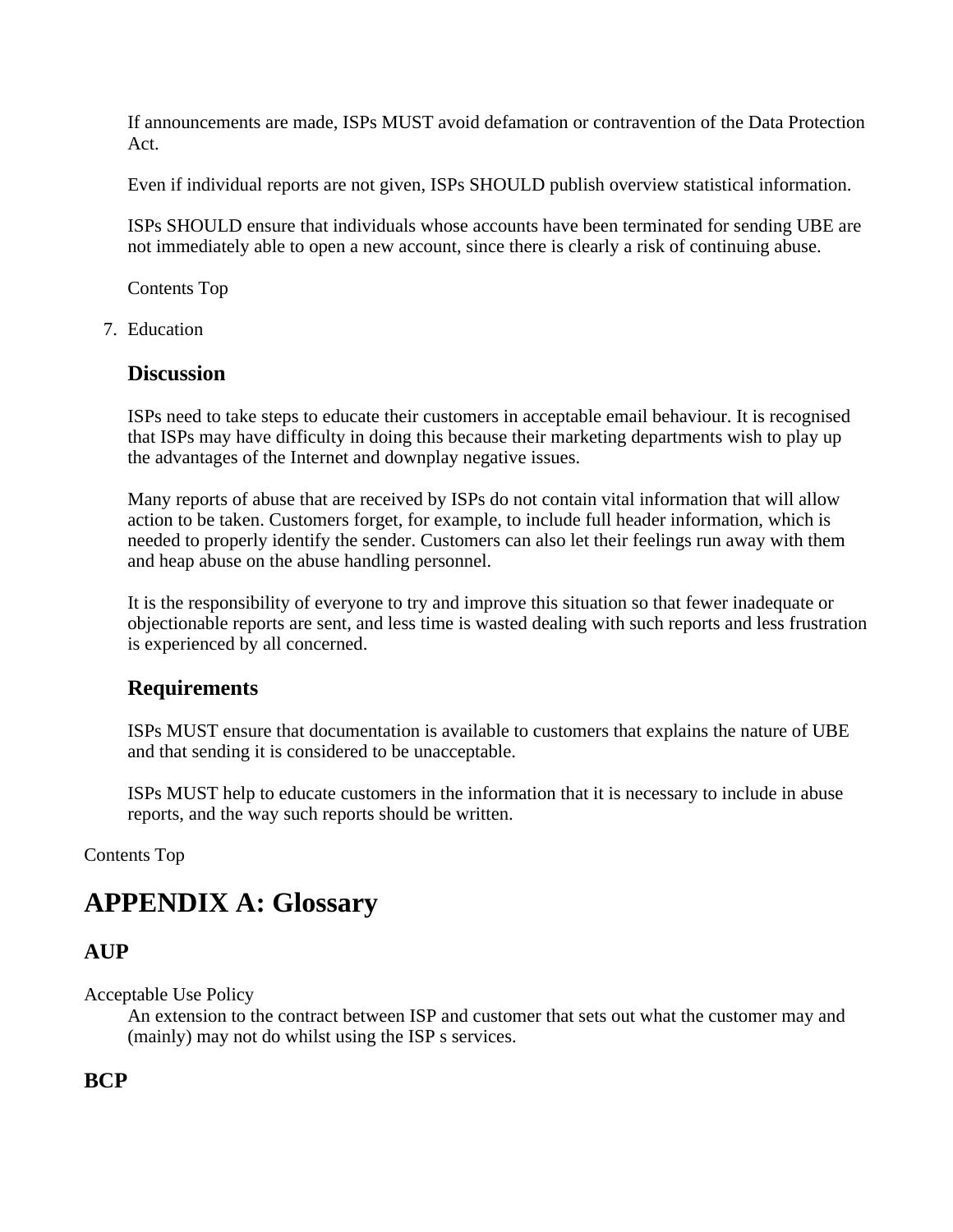If announcements are made, ISPs MUST avoid defamation or contravention of the Data Protection Act.

Even if individual reports are not given, ISPs SHOULD publish overview statistical information.

ISPs SHOULD ensure that individuals whose accounts have been terminated for sending UBE are not immediately able to open a new account, since there is clearly a risk of continuing abuse.

Contents Top

7. Education

#### **Discussion**

ISPs need to take steps to educate their customers in acceptable email behaviour. It is recognised that ISPs may have difficulty in doing this because their marketing departments wish to play up the advantages of the Internet and downplay negative issues.

Many reports of abuse that are received by ISPs do not contain vital information that will allow action to be taken. Customers forget, for example, to include full header information, which is needed to properly identify the sender. Customers can also let their feelings run away with them and heap abuse on the abuse handling personnel.

It is the responsibility of everyone to try and improve this situation so that fewer inadequate or objectionable reports are sent, and less time is wasted dealing with such reports and less frustration is experienced by all concerned.

#### **Requirements**

ISPs MUST ensure that documentation is available to customers that explains the nature of UBE and that sending it is considered to be unacceptable.

ISPs MUST help to educate customers in the information that it is necessary to include in abuse reports, and the way such reports should be written.

Contents Top

# **APPENDIX A: Glossary**

#### **AUP**

Acceptable Use Policy

An extension to the contract between ISP and customer that sets out what the customer may and (mainly) may not do whilst using the ISP s services.

**BCP**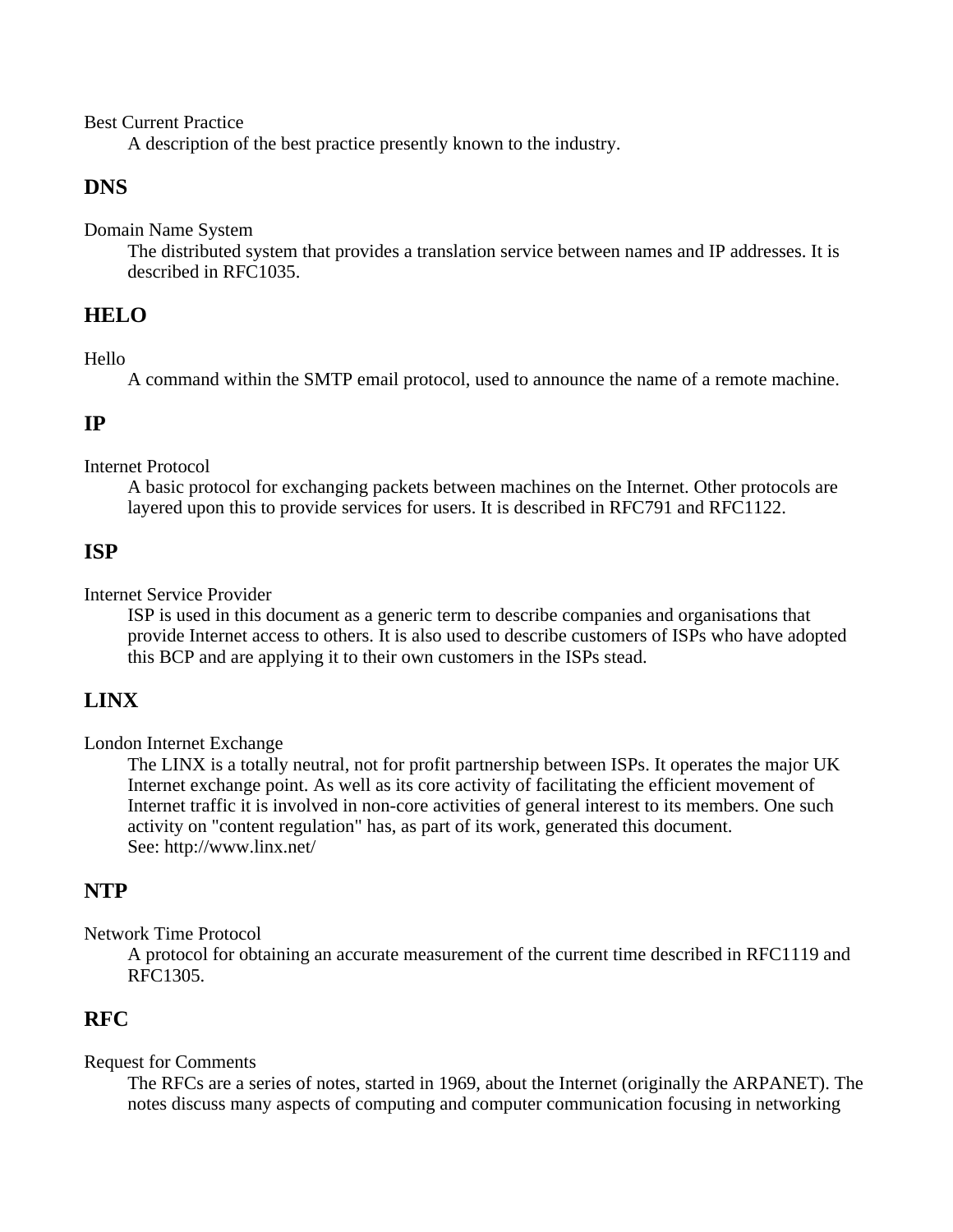Best Current Practice

A description of the best practice presently known to the industry.

#### **DNS**

Domain Name System

The distributed system that provides a translation service between names and IP addresses. It is described in RFC1035.

### **HELO**

Hello

A command within the SMTP email protocol, used to announce the name of a remote machine.

#### **IP**

Internet Protocol

A basic protocol for exchanging packets between machines on the Internet. Other protocols are layered upon this to provide services for users. It is described in RFC791 and RFC1122.

#### **ISP**

Internet Service Provider

ISP is used in this document as a generic term to describe companies and organisations that provide Internet access to others. It is also used to describe customers of ISPs who have adopted this BCP and are applying it to their own customers in the ISPs stead.

### **LINX**

London Internet Exchange

The LINX is a totally neutral, not for profit partnership between ISPs. It operates the major UK Internet exchange point. As well as its core activity of facilitating the efficient movement of Internet traffic it is involved in non-core activities of general interest to its members. One such activity on "content regulation" has, as part of its work, generated this document. See: http://www.linx.net/

#### **NTP**

Network Time Protocol

A protocol for obtaining an accurate measurement of the current time described in RFC1119 and RFC1305.

### **RFC**

#### Request for Comments

The RFCs are a series of notes, started in 1969, about the Internet (originally the ARPANET). The notes discuss many aspects of computing and computer communication focusing in networking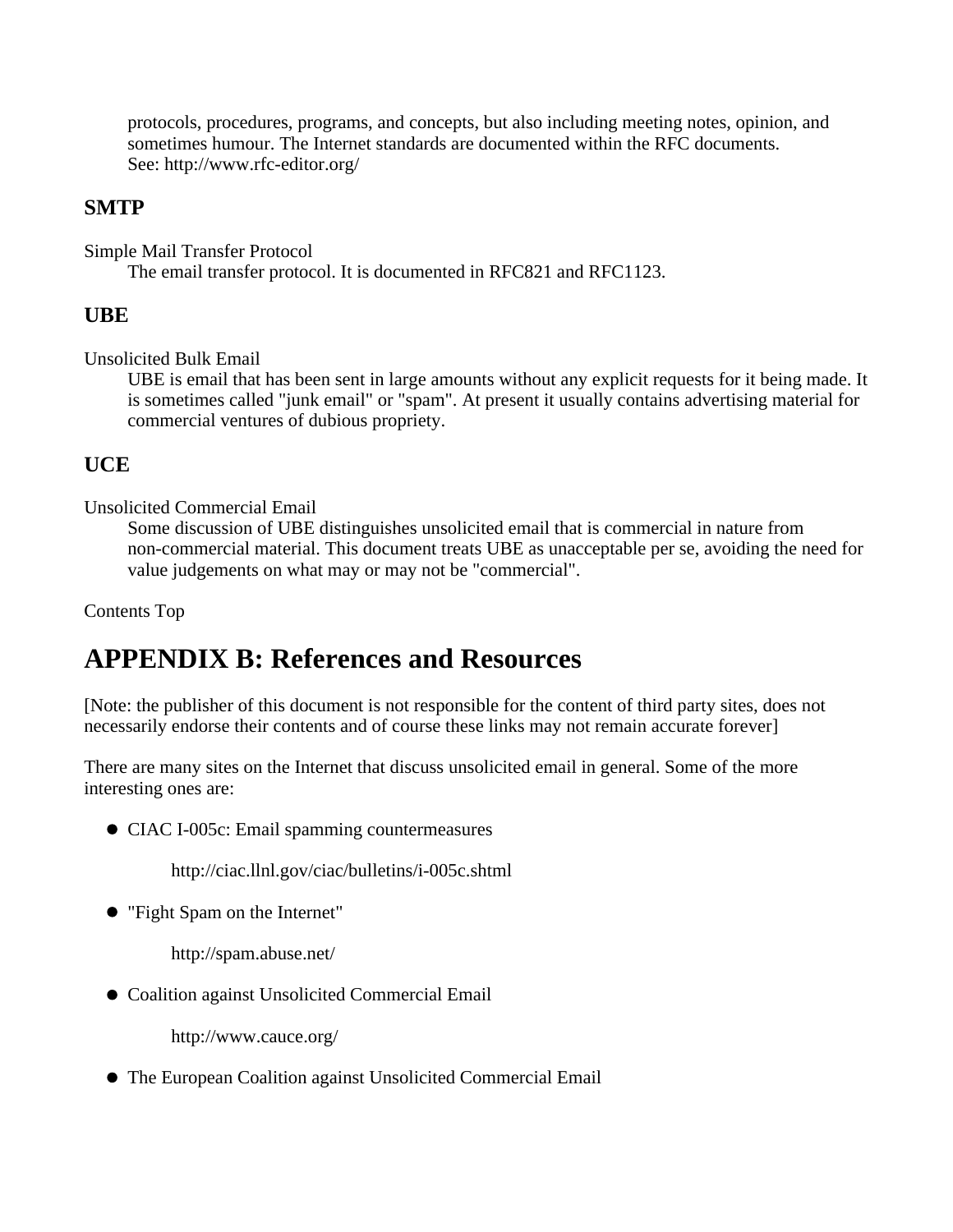protocols, procedures, programs, and concepts, but also including meeting notes, opinion, and sometimes humour. The Internet standards are documented within the RFC documents. See: http://www.rfc-editor.org/

#### **SMTP**

Simple Mail Transfer Protocol

The email transfer protocol. It is documented in RFC821 and RFC1123.

### **UBE**

Unsolicited Bulk Email

UBE is email that has been sent in large amounts without any explicit requests for it being made. It is sometimes called "junk email" or "spam". At present it usually contains advertising material for commercial ventures of dubious propriety.

### **UCE**

Unsolicited Commercial Email

Some discussion of UBE distinguishes unsolicited email that is commercial in nature from non-commercial material. This document treats UBE as unacceptable per se, avoiding the need for value judgements on what may or may not be "commercial".

Contents Top

# **APPENDIX B: References and Resources**

[Note: the publisher of this document is not responsible for the content of third party sites, does not necessarily endorse their contents and of course these links may not remain accurate forever]

There are many sites on the Internet that discuss unsolicited email in general. Some of the more interesting ones are:

CIAC I-005c: Email spamming countermeasures

http://ciac.llnl.gov/ciac/bulletins/i-005c.shtml

"Fight Spam on the Internet"

http://spam.abuse.net/

Coalition against Unsolicited Commercial Email

http://www.cauce.org/

The European Coalition against Unsolicited Commercial Email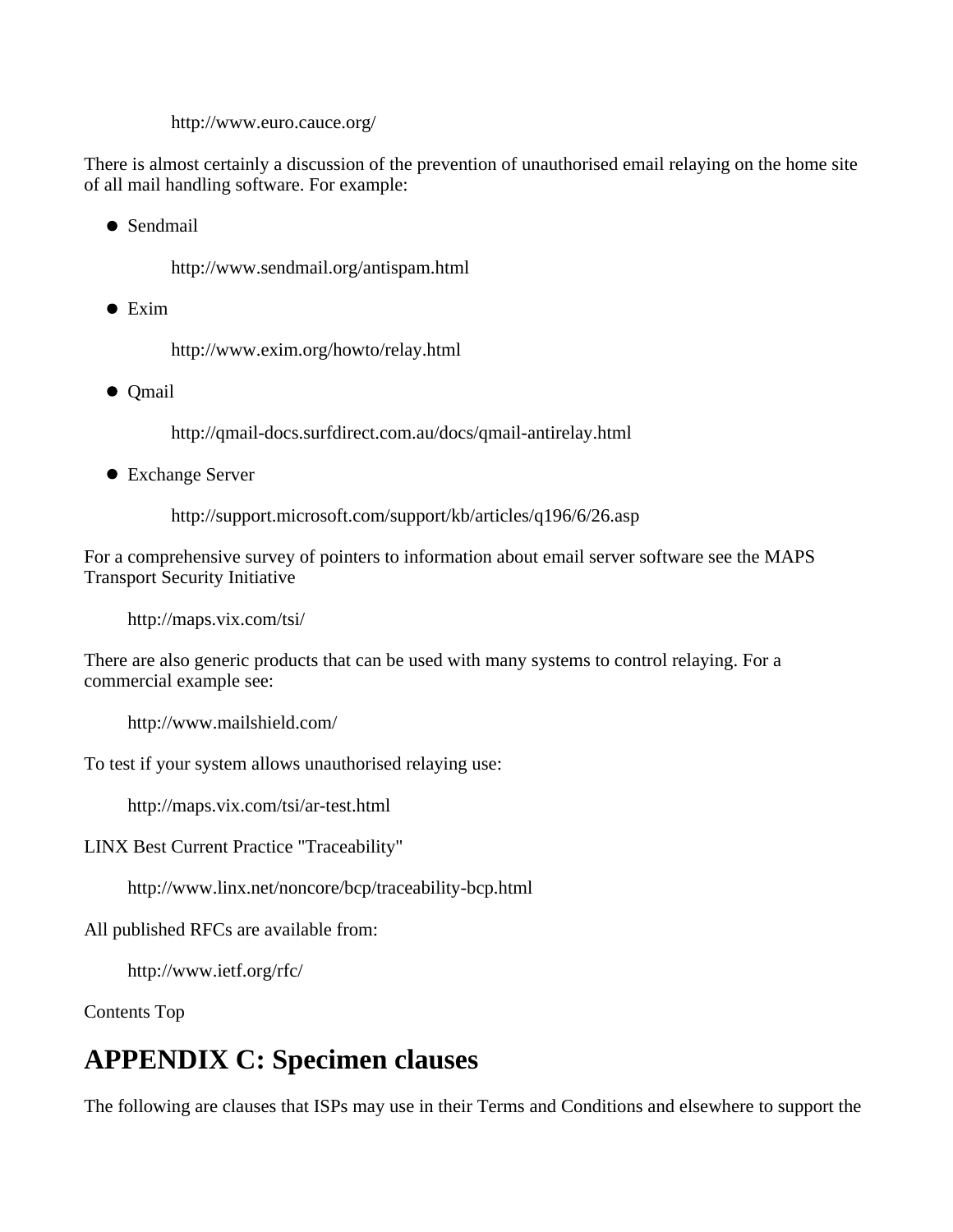http://www.euro.cauce.org/

There is almost certainly a discussion of the prevention of unauthorised email relaying on the home site of all mail handling software. For example:

• Sendmail

http://www.sendmail.org/antispam.html

 $\bullet$  Exim

http://www.exim.org/howto/relay.html

• Qmail

http://qmail-docs.surfdirect.com.au/docs/qmail-antirelay.html

Exchange Server

http://support.microsoft.com/support/kb/articles/q196/6/26.asp

For a comprehensive survey of pointers to information about email server software see the MAPS Transport Security Initiative

http://maps.vix.com/tsi/

There are also generic products that can be used with many systems to control relaying. For a commercial example see:

http://www.mailshield.com/

To test if your system allows unauthorised relaying use:

http://maps.vix.com/tsi/ar-test.html

LINX Best Current Practice "Traceability"

http://www.linx.net/noncore/bcp/traceability-bcp.html

All published RFCs are available from:

http://www.ietf.org/rfc/

Contents Top

# **APPENDIX C: Specimen clauses**

The following are clauses that ISPs may use in their Terms and Conditions and elsewhere to support the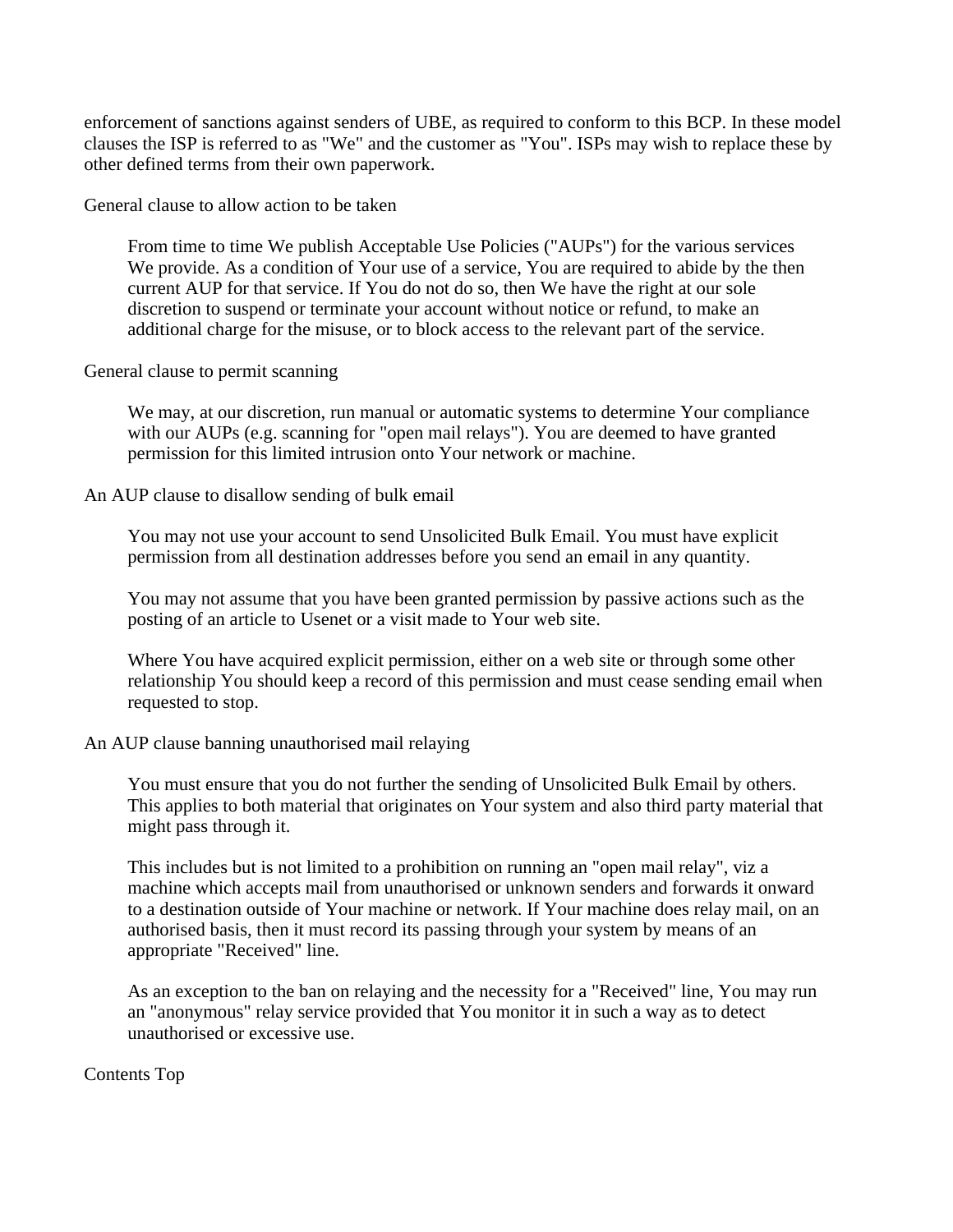enforcement of sanctions against senders of UBE, as required to conform to this BCP. In these model clauses the ISP is referred to as "We" and the customer as "You". ISPs may wish to replace these by other defined terms from their own paperwork.

General clause to allow action to be taken

From time to time We publish Acceptable Use Policies ("AUPs") for the various services We provide. As a condition of Your use of a service, You are required to abide by the then current AUP for that service. If You do not do so, then We have the right at our sole discretion to suspend or terminate your account without notice or refund, to make an additional charge for the misuse, or to block access to the relevant part of the service.

#### General clause to permit scanning

We may, at our discretion, run manual or automatic systems to determine Your compliance with our AUPs (e.g. scanning for "open mail relays"). You are deemed to have granted permission for this limited intrusion onto Your network or machine.

An AUP clause to disallow sending of bulk email

You may not use your account to send Unsolicited Bulk Email. You must have explicit permission from all destination addresses before you send an email in any quantity.

You may not assume that you have been granted permission by passive actions such as the posting of an article to Usenet or a visit made to Your web site.

Where You have acquired explicit permission, either on a web site or through some other relationship You should keep a record of this permission and must cease sending email when requested to stop.

#### An AUP clause banning unauthorised mail relaying

You must ensure that you do not further the sending of Unsolicited Bulk Email by others. This applies to both material that originates on Your system and also third party material that might pass through it.

This includes but is not limited to a prohibition on running an "open mail relay", viz a machine which accepts mail from unauthorised or unknown senders and forwards it onward to a destination outside of Your machine or network. If Your machine does relay mail, on an authorised basis, then it must record its passing through your system by means of an appropriate "Received" line.

As an exception to the ban on relaying and the necessity for a "Received" line, You may run an "anonymous" relay service provided that You monitor it in such a way as to detect unauthorised or excessive use.

#### Contents Top